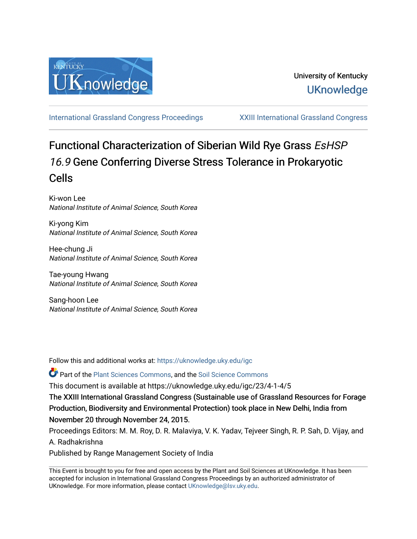

[International Grassland Congress Proceedings](https://uknowledge.uky.edu/igc) [XXIII International Grassland Congress](https://uknowledge.uky.edu/igc/23) 

# Functional Characterization of Siberian Wild Rye Grass EsHSP 16.9 Gene Conferring Diverse Stress Tolerance in Prokaryotic Cells

Ki-won Lee National Institute of Animal Science, South Korea

Ki-yong Kim National Institute of Animal Science, South Korea

Hee-chung Ji National Institute of Animal Science, South Korea

Tae-young Hwang National Institute of Animal Science, South Korea

Sang-hoon Lee National Institute of Animal Science, South Korea

Follow this and additional works at: [https://uknowledge.uky.edu/igc](https://uknowledge.uky.edu/igc?utm_source=uknowledge.uky.edu%2Figc%2F23%2F4-1-4%2F5&utm_medium=PDF&utm_campaign=PDFCoverPages) 

Part of the [Plant Sciences Commons](http://network.bepress.com/hgg/discipline/102?utm_source=uknowledge.uky.edu%2Figc%2F23%2F4-1-4%2F5&utm_medium=PDF&utm_campaign=PDFCoverPages), and the [Soil Science Commons](http://network.bepress.com/hgg/discipline/163?utm_source=uknowledge.uky.edu%2Figc%2F23%2F4-1-4%2F5&utm_medium=PDF&utm_campaign=PDFCoverPages) 

This document is available at https://uknowledge.uky.edu/igc/23/4-1-4/5

The XXIII International Grassland Congress (Sustainable use of Grassland Resources for Forage Production, Biodiversity and Environmental Protection) took place in New Delhi, India from November 20 through November 24, 2015.

Proceedings Editors: M. M. Roy, D. R. Malaviya, V. K. Yadav, Tejveer Singh, R. P. Sah, D. Vijay, and A. Radhakrishna

Published by Range Management Society of India

This Event is brought to you for free and open access by the Plant and Soil Sciences at UKnowledge. It has been accepted for inclusion in International Grassland Congress Proceedings by an authorized administrator of UKnowledge. For more information, please contact [UKnowledge@lsv.uky.edu](mailto:UKnowledge@lsv.uky.edu).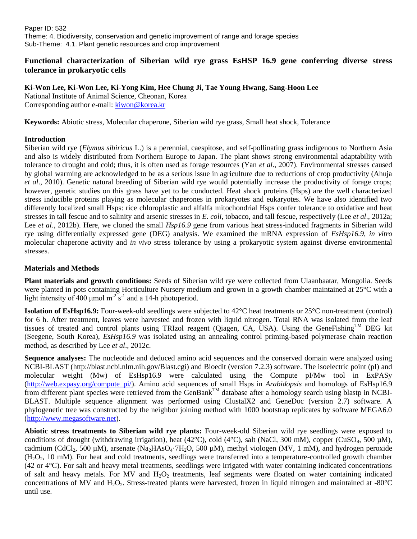Paper ID: 532 Theme: 4. Biodiversity, conservation and genetic improvement of range and forage species Sub-Theme: 4.1. Plant genetic resources and crop improvement

## **Functional characterization of Siberian wild rye grass EsHSP 16.9 gene conferring diverse stress tolerance in prokaryotic cells**

**Ki-Won Lee, Ki-Won Lee, Ki-Yong Kim, Hee Chung Ji, Tae Young Hwang, Sang-Hoon Lee** National Institute of Animal Science, Cheonan, Korea Corresponding author e-mail: [kiwon@korea.kr](mailto:kiwon@korea.kr)

**Keywords:** Abiotic stress, Molecular chaperone, Siberian wild rye grass, Small heat shock, Tolerance

## **Introduction**

Siberian wild rye (*Elymus sibiricus* L.) is a perennial, caespitose, and self-pollinating grass indigenous to Northern Asia and also is widely distributed from Northern Europe to Japan. The plant shows strong environmental adaptability with tolerance to drought and cold; thus, it is often used as forage resources (Yan *et al*., 2007). Environmental stresses caused by global warming are acknowledged to be as a serious issue in agriculture due to reductions of crop productivity (Ahuja *et al*., 2010). Genetic natural breeding of Siberian wild rye would potentially increase the productivity of forage crops; however, genetic studies on this grass have yet to be conducted. Heat shock proteins (Hsps) are the well characterized stress inducible proteins playing as molecular chaperones in prokaryotes and eukaryotes. We have also identified two differently localized small Hsps: rice chloroplastic and alfalfa mitochondrial Hsps confer tolerance to oxidative and heat stresses in tall fescue and to salinity and arsenic stresses in *E. coli*, tobacco, and tall fescue, respectively (Lee *et al*., 2012a; Lee *et al*., 2012b). Here, we cloned the small *Hsp16.9* gene from various heat stress-induced fragments in Siberian wild rye using differentially expressed gene (DEG) analysis. We examined the mRNA expression of *EsHsp16.9*, *in vitro* molecular chaperone activity and *in vivo* stress tolerance by using a prokaryotic system against diverse environmental stresses.

### **Materials and Methods**

**Plant materials and growth conditions:** Seeds of Siberian wild rye were collected from Ulaanbaatar, Mongolia. Seeds were planted in pots containing Horticulture Nursery medium and grown in a growth chamber maintained at 25°C with a light intensity of 400 µmol  $m^{-2}$  s<sup>-1</sup> and a 14-h photoperiod.

**Isolation of EsHsp16.9:** Four-week-old seedlings were subjected to 42°C heat treatments or 25°C non-treatment (control) for 6 h. After treatment, leaves were harvested and frozen with liquid nitrogen. Total RNA was isolated from the leaf tissues of treated and control plants using TRIzol reagent (Qiagen, CA, USA). Using the GeneFishing<sup>TM</sup> DEG kit (Seegene, South Korea), *EsHsp16.9* was isolated using an annealing control priming-based polymerase chain reaction method, as described by Lee *et al*., 2012c.

**Sequence analyses:** The nucleotide and deduced amino acid sequences and the conserved domain were analyzed using NCBI-BLAST (http://blast.ncbi.nlm.nih.gov/Blast.cgi) and Bioedit (version 7.2.3) software. The isoelectric point (pI) and molecular weight (Mw) of EsHsp16.9 were calculated using the Compute pI/Mw tool in ExPASy [\(http://web.expasy.org/compute\\_pi/\)](http://web.expasy.org/compute_pi/). Amino acid sequences of small Hsps in *Arabidopsis* and homologs of EsHsp16.9 from different plant species were retrieved from the GenBank<sup>TM</sup> database after a homology search using blastp in NCBI-BLAST. Multiple sequence alignment was performed using ClustalX2 and GeneDoc (version 2.7) software. A phylogenetic tree was constructed by the neighbor joining method with 1000 bootstrap replicates by software MEGA6.0 [\(http://www.megasoftware.net\)](http://www.megasoftware.net/).

**Abiotic stress treatments to Siberian wild rye plants:** Four-week-old Siberian wild rye seedlings were exposed to conditions of drought (withdrawing irrigation), heat  $(42^{\circ}C)$ , cold  $(4^{\circ}C)$ , salt (NaCl, 300 mM), copper (CuSO<sub>4</sub>, 500 µM), cadmium (CdCl<sub>2</sub>, 500 µM), arsenate (Na<sub>2</sub>HAsO<sub>4</sub>·7H<sub>2</sub>O, 500 µM), methyl viologen (MV, 1 mM), and hydrogen peroxide  $(H<sub>2</sub>O<sub>2</sub>$ , 10 mM). For heat and cold treatments, seedlings were transferred into a temperature-controlled growth chamber (42 or 4°C). For salt and heavy metal treatments, seedlings were irrigated with water containing indicated concentrations of salt and heavy metals. For MV and  $H_2O_2$  treatments, leaf segments were floated on water containing indicated concentrations of MV and  $H_2O_2$ . Stress-treated plants were harvested, frozen in liquid nitrogen and maintained at -80 $^{\circ}$ C until use.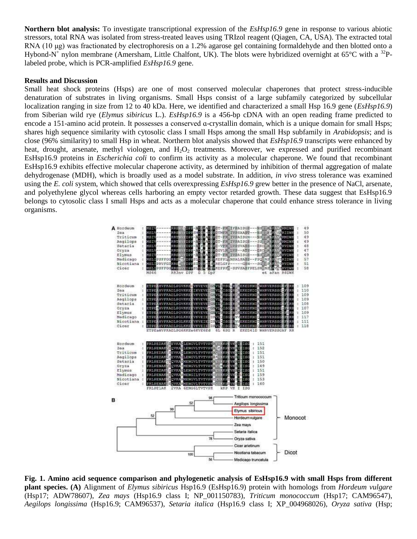**Northern blot analysis:** To investigate transcriptional expression of the *EsHsp16.9* gene in response to various abiotic stressors, total RNA was isolated from stress-treated leaves using TRIzol reagent (Qiagen, CA, USA). The extracted total RNA (10 μg) was fractionated by electrophoresis on a 1.2% agarose gel containing formaldehyde and then blotted onto a Hybond-N<sup>+</sup> nylon membrane (Amersham, Little Chalfont, UK). The blots were hybridized overnight at 65°C with a <sup>32</sup>Plabeled probe, which is PCR-amplified *EsHsp16.9* gene.

#### **Results and Discussion**

Small heat shock proteins (Hsps) are one of most conserved molecular chaperones that protect stress-inducible denaturation of substrates in living organisms. Small Hsps consist of a large subfamily categorized by subcellular localization ranging in size from 12 to 40 kDa. Here, we identified and characterized a small Hsp 16.9 gene (*EsHsp16.9*) from Siberian wild rye (*Elymus sibiricus* L.). *EsHsp16.9* is a 456-bp cDNA with an open reading frame predicted to encode a 151-amino acid protein. It possesses a conserved a-crystallin domain, which is a unique domain for small Hsps; shares high sequence similarity with cytosolic class I small Hsps among the small Hsp subfamily in *Arabidopsis*; and is close (96% similarity) to small Hsp in wheat. Northern blot analysis showed that *EsHsp16.9* transcripts were enhanced by heat, drought, arsenate, methyl viologen, and  $H_2O_2$  treatments. Moreover, we expressed and purified recombinant EsHsp16.9 proteins in *Escherichia coli* to confirm its activity as a molecular chaperone. We found that recombinant EsHsp16.9 exhibits effective molecular chaperone activity, as determined by inhibition of thermal aggregation of malate dehydrogenase (MDH), which is broadly used as a model substrate. In addition, *in vivo* stress tolerance was examined using the *E. coli* system, which showed that cells overexpressing *EsHsp16.9* grew better in the presence of NaCl, arsenate, and polyethylene glycol whereas cells harboring an empty vector retarded growth. These data suggest that EsHsp16.9 belongs to cytosolic class I small Hsps and acts as a molecular chaperone that could enhance stress tolerance in living organisms.



**Fig. 1. Amino acid sequence comparison and phylogenetic analysis of EsHsp16.9 with small Hsps from different plant species. (A)** Alignment of *Elymus sibiricus* Hsp16.9 (EsHsp16.9) protein with homologs from *Hordeum vulgare* (Hsp17; ADW78607), *Zea mays* (Hsp16.9 class I; NP\_001150783), *Triticum monococcum* (Hsp17; CAM96547), *Aegilops longissima* (Hsp16.9; CAM96537), *Setaria italica* (Hsp16.9 class I; XP\_004968026), *Oryza sativa* (Hsp;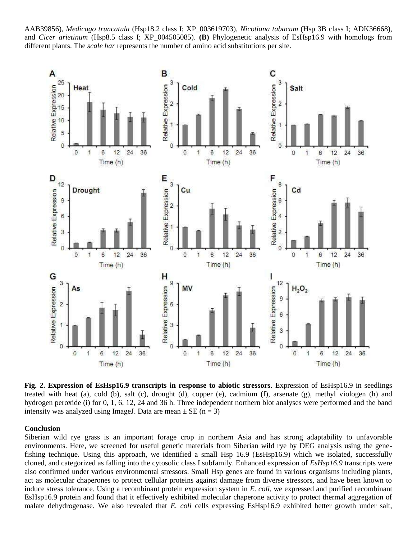



**Fig. 2. Expression of EsHsp16.9 transcripts in response to abiotic stressors**. Expression of EsHsp16.9 in seedlings treated with heat (a), cold (b), salt (c), drought (d), copper (e), cadmium (f), arsenate (g), methyl viologen (h) and hydrogen peroxide (i) for 0, 1, 6, 12, 24 and 36 h. Three independent northern blot analyses were performed and the band intensity was analyzed using ImageJ. Data are mean  $\pm$  SE (n = 3)

#### **Conclusion**

Siberian wild rye grass is an important forage crop in northern Asia and has strong adaptability to unfavorable environments. Here, we screened for useful genetic materials from Siberian wild rye by DEG analysis using the genefishing technique. Using this approach, we identified a small Hsp 16.9 (EsHsp16.9) which we isolated, successfully cloned, and categorized as falling into the cytosolic class I subfamily. Enhanced expression of *EsHsp16.9* transcripts were also confirmed under various environmental stressors. Small Hsp genes are found in various organisms including plants, act as molecular chaperones to protect cellular proteins against damage from diverse stressors, and have been known to induce stress tolerance. Using a recombinant protein expression system in *E. coli*, we expressed and purified recombinant EsHsp16.9 protein and found that it effectively exhibited molecular chaperone activity to protect thermal aggregation of malate dehydrogenase. We also revealed that *E. coli* cells expressing EsHsp16.9 exhibited better growth under salt,